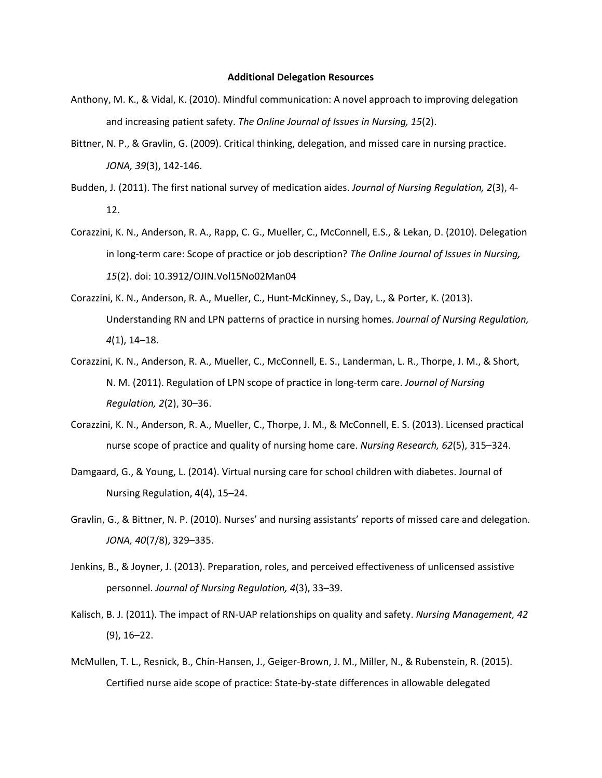## **Additional Delegation Resources**

- Anthony, M. K., & Vidal, K. (2010). Mindful communication: A novel approach to improving delegation and increasing patient safety. *The Online Journal of Issues in Nursing, 15*(2).
- Bittner, N. P., & Gravlin, G. (2009). Critical thinking, delegation, and missed care in nursing practice. *JONA, 39*(3), 142-146.
- Budden, J. (2011). The first national survey of medication aides. *Journal of Nursing Regulation, 2*(3), 4- 12.
- Corazzini, K. N., Anderson, R. A., Rapp, C. G., Mueller, C., McConnell, E.S., & Lekan, D. (2010). Delegation in long-term care: Scope of practice or job description? *The Online Journal of Issues in Nursing, 15*(2). doi: 10.3912/OJIN.Vol15No02Man04
- Corazzini, K. N., Anderson, R. A., Mueller, C., Hunt-McKinney, S., Day, L., & Porter, K. (2013). Understanding RN and LPN patterns of practice in nursing homes. *Journal of Nursing Regulation, 4*(1), 14–18.
- Corazzini, K. N., Anderson, R. A., Mueller, C., McConnell, E. S., Landerman, L. R., Thorpe, J. M., & Short, N. M. (2011). Regulation of LPN scope of practice in long-term care. *Journal of Nursing Regulation, 2*(2), 30–36.
- Corazzini, K. N., Anderson, R. A., Mueller, C., Thorpe, J. M., & McConnell, E. S. (2013). Licensed practical nurse scope of practice and quality of nursing home care. *Nursing Research, 62*(5), 315–324.
- Damgaard, G., & Young, L. (2014). Virtual nursing care for school children with diabetes. Journal of Nursing Regulation, 4(4), 15–24.
- Gravlin, G., & Bittner, N. P. (2010). Nurses' and nursing assistants' reports of missed care and delegation. *JONA, 40*(7/8), 329–335.
- Jenkins, B., & Joyner, J. (2013). Preparation, roles, and perceived effectiveness of unlicensed assistive personnel. *Journal of Nursing Regulation, 4*(3), 33–39.
- Kalisch, B. J. (2011). The impact of RN-UAP relationships on quality and safety. *Nursing Management, 42* (9), 16–22.
- McMullen, T. L., Resnick, B., Chin-Hansen, J., Geiger-Brown, J. M., Miller, N., & Rubenstein, R. (2015). Certified nurse aide scope of practice: State-by-state differences in allowable delegated